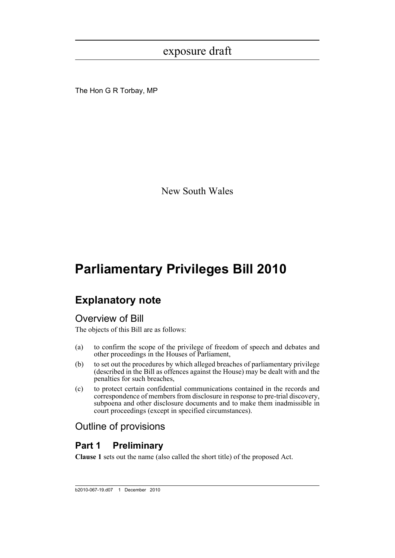The Hon G R Torbay, MP

New South Wales

# **Parliamentary Privileges Bill 2010**

# **Explanatory note**

## Overview of Bill

The objects of this Bill are as follows:

- (a) to confirm the scope of the privilege of freedom of speech and debates and other proceedings in the Houses of Parliament,
- (b) to set out the procedures by which alleged breaches of parliamentary privilege (described in the Bill as offences against the House) may be dealt with and the penalties for such breaches,
- (c) to protect certain confidential communications contained in the records and correspondence of members from disclosure in response to pre-trial discovery, subpoena and other disclosure documents and to make them inadmissible in court proceedings (except in specified circumstances).

## Outline of provisions

## **Part 1 Preliminary**

**Clause 1** sets out the name (also called the short title) of the proposed Act.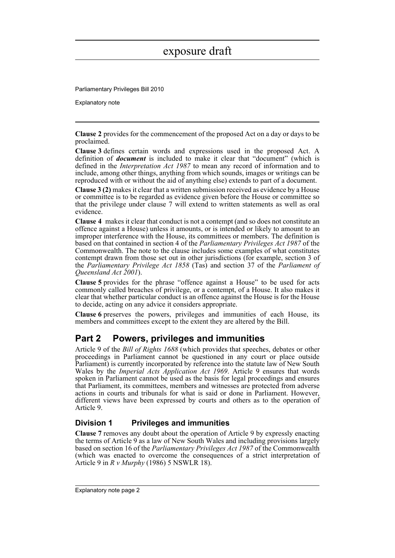Parliamentary Privileges Bill 2010

Explanatory note

**Clause 2** provides for the commencement of the proposed Act on a day or days to be proclaimed.

**Clause 3** defines certain words and expressions used in the proposed Act. A definition of *document* is included to make it clear that "document" (which is defined in the *Interpretation Act 1987* to mean any record of information and to include, among other things, anything from which sounds, images or writings can be reproduced with or without the aid of anything else) extends to part of a document.

**Clause 3 (2)** makes it clear that a written submission received as evidence by a House or committee is to be regarded as evidence given before the House or committee so that the privilege under clause 7 will extend to written statements as well as oral evidence.

**Clause 4** makes it clear that conduct is not a contempt (and so does not constitute an offence against a House) unless it amounts, or is intended or likely to amount to an improper interference with the House, its committees or members. The definition is based on that contained in section 4 of the *Parliamentary Privileges Act 1987* of the Commonwealth. The note to the clause includes some examples of what constitutes contempt drawn from those set out in other jurisdictions (for example, section 3 of the *Parliamentary Privilege Act 1858* (Tas) and section 37 of the *Parliament of Queensland Act 2001*).

**Clause 5** provides for the phrase "offence against a House" to be used for acts commonly called breaches of privilege, or a contempt, of a House. It also makes it clear that whether particular conduct is an offence against the House is for the House to decide, acting on any advice it considers appropriate.

**Clause 6** preserves the powers, privileges and immunities of each House, its members and committees except to the extent they are altered by the Bill.

## **Part 2 Powers, privileges and immunities**

Article 9 of the *Bill of Rights 1688* (which provides that speeches, debates or other proceedings in Parliament cannot be questioned in any court or place outside Parliament) is currently incorporated by reference into the statute law of New South Wales by the *Imperial Acts Application Act 1969*. Article 9 ensures that words spoken in Parliament cannot be used as the basis for legal proceedings and ensures that Parliament, its committees, members and witnesses are protected from adverse actions in courts and tribunals for what is said or done in Parliament. However, different views have been expressed by courts and others as to the operation of Article 9.

### **Division 1 Privileges and immunities**

**Clause 7** removes any doubt about the operation of Article 9 by expressly enacting the terms of Article 9 as a law of New South Wales and including provisions largely based on section 16 of the *Parliamentary Privileges Act 1987* of the Commonwealth (which was enacted to overcome the consequences of a strict interpretation of Article 9 in *R v Murphy* (1986) 5 NSWLR 18).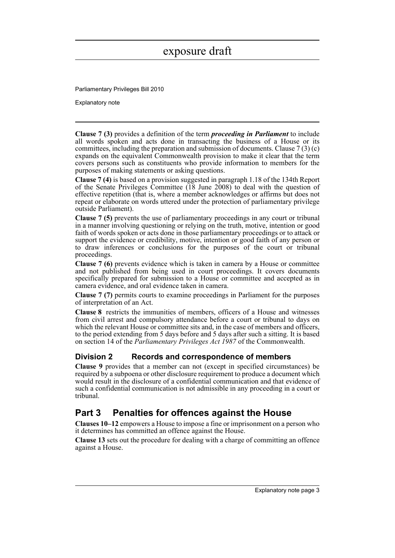Parliamentary Privileges Bill 2010

Explanatory note

**Clause 7 (3)** provides a definition of the term *proceeding in Parliament* to include all words spoken and acts done in transacting the business of a House or its committees, including the preparation and submission of documents. Clause  $7(3)(c)$ expands on the equivalent Commonwealth provision to make it clear that the term covers persons such as constituents who provide information to members for the purposes of making statements or asking questions.

**Clause 7 (4)** is based on a provision suggested in paragraph 1.18 of the 134th Report of the Senate Privileges Committee (18 June 2008) to deal with the question of effective repetition (that is, where a member acknowledges or affirms but does not repeat or elaborate on words uttered under the protection of parliamentary privilege outside Parliament).

**Clause 7 (5)** prevents the use of parliamentary proceedings in any court or tribunal in a manner involving questioning or relying on the truth, motive, intention or good faith of words spoken or acts done in those parliamentary proceedings or to attack or support the evidence or credibility, motive, intention or good faith of any person or to draw inferences or conclusions for the purposes of the court or tribunal proceedings.

**Clause 7 (6)** prevents evidence which is taken in camera by a House or committee and not published from being used in court proceedings. It covers documents specifically prepared for submission to a House or committee and accepted as in camera evidence, and oral evidence taken in camera.

**Clause 7 (7)** permits courts to examine proceedings in Parliament for the purposes of interpretation of an Act.

**Clause 8** restricts the immunities of members, officers of a House and witnesses from civil arrest and compulsory attendance before a court or tribunal to days on which the relevant House or committee sits and, in the case of members and officers, to the period extending from 5 days before and 5 days after such a sitting. It is based on section 14 of the *Parliamentary Privileges Act 1987* of the Commonwealth.

### **Division 2 Records and correspondence of members**

**Clause 9** provides that a member can not (except in specified circumstances) be required by a subpoena or other disclosure requirement to produce a document which would result in the disclosure of a confidential communication and that evidence of such a confidential communication is not admissible in any proceeding in a court or tribunal.

## **Part 3 Penalties for offences against the House**

**Clauses 10–12** empowers a House to impose a fine or imprisonment on a person who it determines has committed an offence against the House.

**Clause 13** sets out the procedure for dealing with a charge of committing an offence against a House.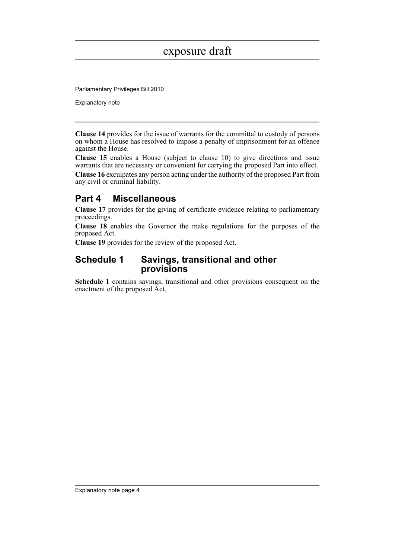Parliamentary Privileges Bill 2010

Explanatory note

**Clause 14** provides for the issue of warrants for the committal to custody of persons on whom a House has resolved to impose a penalty of imprisonment for an offence against the House.

**Clause 15** enables a House (subject to clause 10) to give directions and issue warrants that are necessary or convenient for carrying the proposed Part into effect.

**Clause 16** exculpates any person acting under the authority of the proposed Part from any civil or criminal liability.

## **Part 4 Miscellaneous**

**Clause 17** provides for the giving of certificate evidence relating to parliamentary proceedings.

**Clause 18** enables the Governor the make regulations for the purposes of the proposed Act.

**Clause 19** provides for the review of the proposed Act.

### **Schedule 1 Savings, transitional and other provisions**

**Schedule 1** contains savings, transitional and other provisions consequent on the enactment of the proposed Act.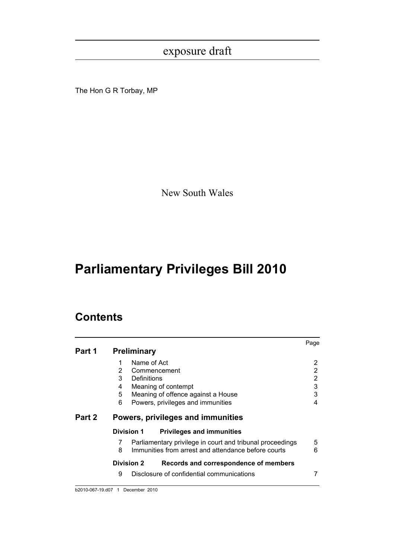The Hon G R Torbay, MP

New South Wales

# **Parliamentary Privileges Bill 2010**

## **Contents**

|        |                                                                | Page |
|--------|----------------------------------------------------------------|------|
| Part 1 | <b>Preliminary</b>                                             |      |
|        | Name of Act<br>1                                               | 2    |
|        | 2<br>Commencement                                              | 2    |
|        | 3<br>Definitions                                               | 2    |
|        | Meaning of contempt<br>4                                       | 3    |
|        | 5<br>Meaning of offence against a House                        | 3    |
|        | Powers, privileges and immunities<br>6                         | 4    |
| Part 2 | Powers, privileges and immunities                              |      |
|        | <b>Division 1</b><br><b>Privileges and immunities</b>          |      |
|        | Parliamentary privilege in court and tribunal proceedings<br>7 | 5    |
|        | Immunities from arrest and attendance before courts<br>8       | 6    |
|        | <b>Division 2</b><br>Records and correspondence of members     |      |
|        | 9<br>Disclosure of confidential communications                 |      |
|        |                                                                |      |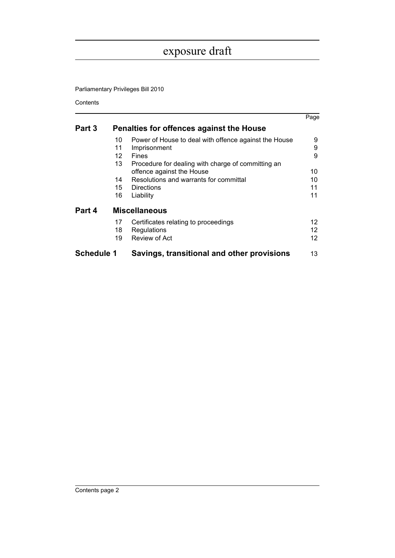Parliamentary Privileges Bill 2010

Contents

|                   |                                          |                                                                      | Page           |  |
|-------------------|------------------------------------------|----------------------------------------------------------------------|----------------|--|
| Part 3            | Penalties for offences against the House |                                                                      |                |  |
|                   | 10                                       | Power of House to deal with offence against the House                | 9              |  |
|                   | 11                                       | Imprisonment                                                         | 9              |  |
|                   | 12                                       | Fines                                                                | 9              |  |
|                   | 13                                       | Procedure for dealing with charge of committing an                   |                |  |
|                   |                                          | offence against the House                                            | 10             |  |
|                   | 14                                       | Resolutions and warrants for committal                               | 10             |  |
|                   | 15                                       | Directions                                                           | 11             |  |
|                   | 16                                       | Liability                                                            | 11             |  |
| Part 4            | <b>Miscellaneous</b>                     |                                                                      |                |  |
|                   | 17<br>18<br>19                           | Certificates relating to proceedings<br>Regulations<br>Review of Act | 12<br>12<br>12 |  |
| <b>Schedule 1</b> |                                          | Savings, transitional and other provisions                           | 13             |  |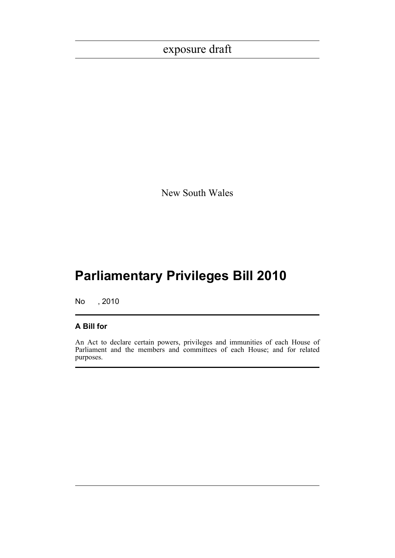New South Wales

# **Parliamentary Privileges Bill 2010**

No , 2010

### **A Bill for**

An Act to declare certain powers, privileges and immunities of each House of Parliament and the members and committees of each House; and for related purposes.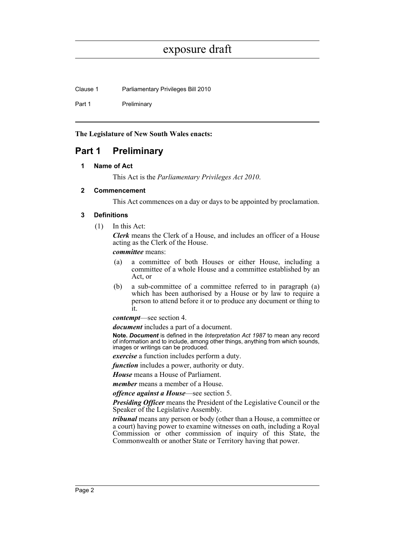Clause 1 Parliamentary Privileges Bill 2010

Part 1 Preliminary

**The Legislature of New South Wales enacts:**

### <span id="page-7-1"></span><span id="page-7-0"></span>**Part 1 Preliminary**

### **1 Name of Act**

This Act is the *Parliamentary Privileges Act 2010*.

### <span id="page-7-2"></span>**2 Commencement**

This Act commences on a day or days to be appointed by proclamation.

### <span id="page-7-3"></span>**3 Definitions**

(1) In this Act:

*Clerk* means the Clerk of a House, and includes an officer of a House acting as the Clerk of the House.

*committee* means:

- (a) a committee of both Houses or either House, including a committee of a whole House and a committee established by an Act, or
- (b) a sub-committee of a committee referred to in paragraph (a) which has been authorised by a House or by law to require a person to attend before it or to produce any document or thing to it.

*contempt*—see section 4.

*document* includes a part of a document.

**Note.** *Document* is defined in the *Interpretation Act 1987* to mean any record of information and to include, among other things, anything from which sounds, images or writings can be produced.

*exercise* a function includes perform a duty.

*function* includes a power, authority or duty.

*House* means a House of Parliament.

*member* means a member of a House.

*offence against a House*—see section 5.

*Presiding Officer* means the President of the Legislative Council or the Speaker of the Legislative Assembly.

*tribunal* means any person or body (other than a House, a committee or a court) having power to examine witnesses on oath, including a Royal Commission or other commission of inquiry of this State, the Commonwealth or another State or Territory having that power.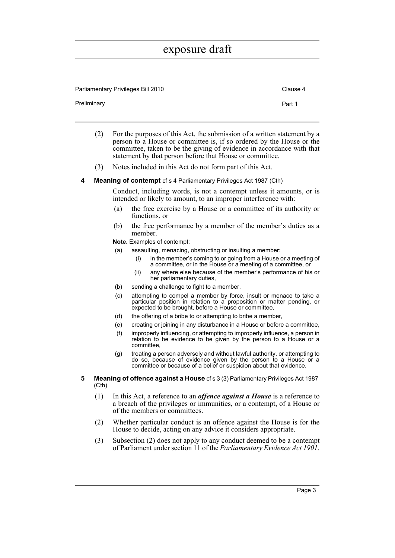| Parliamentary Privileges Bill 2010 |        |  |
|------------------------------------|--------|--|
| Preliminary                        | Part 1 |  |

- (2) For the purposes of this Act, the submission of a written statement by a person to a House or committee is, if so ordered by the House or the committee, taken to be the giving of evidence in accordance with that statement by that person before that House or committee.
- (3) Notes included in this Act do not form part of this Act.

#### <span id="page-8-0"></span>**4 Meaning of contempt** cf s 4 Parliamentary Privileges Act 1987 (Cth)

Conduct, including words, is not a contempt unless it amounts, or is intended or likely to amount, to an improper interference with:

- (a) the free exercise by a House or a committee of its authority or functions, or
- (b) the free performance by a member of the member's duties as a member.
- **Note.** Examples of contempt:
- (a) assaulting, menacing, obstructing or insulting a member:
	- in the member's coming to or going from a House or a meeting of a committee, or in the House or a meeting of a committee, or
	- (ii) any where else because of the member's performance of his or her parliamentary duties,
- (b) sending a challenge to fight to a member,
- (c) attempting to compel a member by force, insult or menace to take a particular position in relation to a proposition or matter pending, or expected to be brought, before a House or committee,
- (d) the offering of a bribe to or attempting to bribe a member,
- (e) creating or joining in any disturbance in a House or before a committee,
- (f) improperly influencing, or attempting to improperly influence, a person in relation to be evidence to be given by the person to a House or a committee,
- (g) treating a person adversely and without lawful authority, or attempting to do so, because of evidence given by the person to a House or a committee or because of a belief or suspicion about that evidence.
- <span id="page-8-1"></span>**5 Meaning of offence against a House** cf s 3 (3) Parliamentary Privileges Act 1987 (Cth)
	- (1) In this Act, a reference to an *offence against a House* is a reference to a breach of the privileges or immunities, or a contempt, of a House or of the members or committees.
	- (2) Whether particular conduct is an offence against the House is for the House to decide, acting on any advice it considers appropriate.
	- (3) Subsection (2) does not apply to any conduct deemed to be a contempt of Parliament under section 11 of the *Parliamentary Evidence Act 1901*.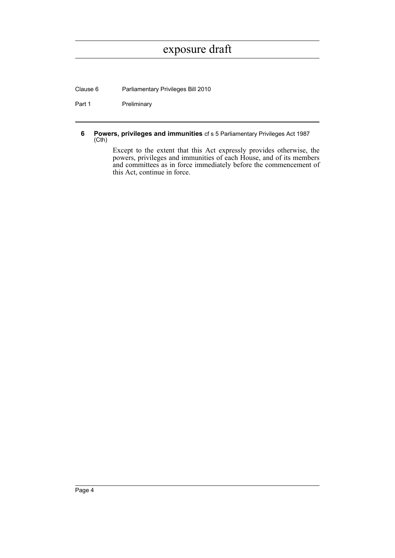Clause 6 Parliamentary Privileges Bill 2010

Part 1 Preliminary

<span id="page-9-0"></span>**6 Powers, privileges and immunities** cf s 5 Parliamentary Privileges Act 1987 (Cth)

> Except to the extent that this Act expressly provides otherwise, the powers, privileges and immunities of each House, and of its members and committees as in force immediately before the commencement of this Act, continue in force.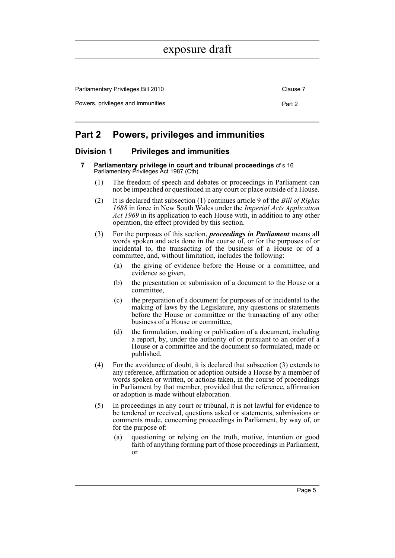Parliamentary Privileges Bill 2010 Clause 7 Clause 7 Powers, privileges and immunities **Part 2** Part 2

### <span id="page-10-0"></span>**Part 2 Powers, privileges and immunities**

### <span id="page-10-2"></span><span id="page-10-1"></span>**Division 1 Privileges and immunities**

- **7 Parliamentary privilege in court and tribunal proceedings** cf s 16 Parliamentary Privileges Act 1987 (Cth)
	- (1) The freedom of speech and debates or proceedings in Parliament can not be impeached or questioned in any court or place outside of a House.
	- (2) It is declared that subsection (1) continues article 9 of the *Bill of Rights 1688* in force in New South Wales under the *Imperial Acts Application Act 1969* in its application to each House with, in addition to any other operation, the effect provided by this section.
	- (3) For the purposes of this section, *proceedings in Parliament* means all words spoken and acts done in the course of, or for the purposes of or incidental to, the transacting of the business of a House or of a committee, and, without limitation, includes the following:
		- (a) the giving of evidence before the House or a committee, and evidence so given,
		- (b) the presentation or submission of a document to the House or a committee,
		- (c) the preparation of a document for purposes of or incidental to the making of laws by the Legislature, any questions or statements before the House or committee or the transacting of any other business of a House or committee,
		- (d) the formulation, making or publication of a document, including a report, by, under the authority of or pursuant to an order of a House or a committee and the document so formulated, made or published.
	- (4) For the avoidance of doubt, it is declared that subsection (3) extends to any reference, affirmation or adoption outside a House by a member of words spoken or written, or actions taken, in the course of proceedings in Parliament by that member, provided that the reference, affirmation or adoption is made without elaboration.
	- (5) In proceedings in any court or tribunal, it is not lawful for evidence to be tendered or received, questions asked or statements, submissions or comments made, concerning proceedings in Parliament, by way of, or for the purpose of:
		- (a) questioning or relying on the truth, motive, intention or good faith of anything forming part of those proceedings in Parliament, or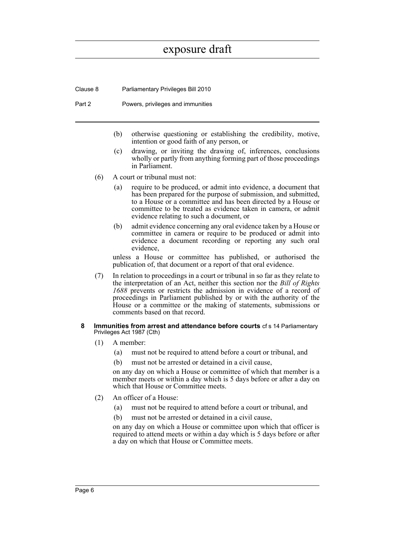Clause 8 Parliamentary Privileges Bill 2010

Part 2 Powers, privileges and immunities

- (b) otherwise questioning or establishing the credibility, motive, intention or good faith of any person, or
- (c) drawing, or inviting the drawing of, inferences, conclusions wholly or partly from anything forming part of those proceedings in Parliament.
- (6) A court or tribunal must not:
	- (a) require to be produced, or admit into evidence, a document that has been prepared for the purpose of submission, and submitted, to a House or a committee and has been directed by a House or committee to be treated as evidence taken in camera, or admit evidence relating to such a document, or
	- (b) admit evidence concerning any oral evidence taken by a House or committee in camera or require to be produced or admit into evidence a document recording or reporting any such oral evidence,

unless a House or committee has published, or authorised the publication of, that document or a report of that oral evidence.

- (7) In relation to proceedings in a court or tribunal in so far as they relate to the interpretation of an Act, neither this section nor the *Bill of Rights 1688* prevents or restricts the admission in evidence of a record of proceedings in Parliament published by or with the authority of the House or a committee or the making of statements, submissions or comments based on that record.
- <span id="page-11-0"></span>**8 Immunities from arrest and attendance before courts** cf s 14 Parliamentary Privileges Act 1987 (Cth)
	- (1) A member:
		- (a) must not be required to attend before a court or tribunal, and
		- (b) must not be arrested or detained in a civil cause,

on any day on which a House or committee of which that member is a member meets or within a day which is 5 days before or after a day on which that House or Committee meets.

- (2) An officer of a House:
	- (a) must not be required to attend before a court or tribunal, and
	- (b) must not be arrested or detained in a civil cause,

on any day on which a House or committee upon which that officer is required to attend meets or within a day which is 5 days before or after a day on which that House or Committee meets.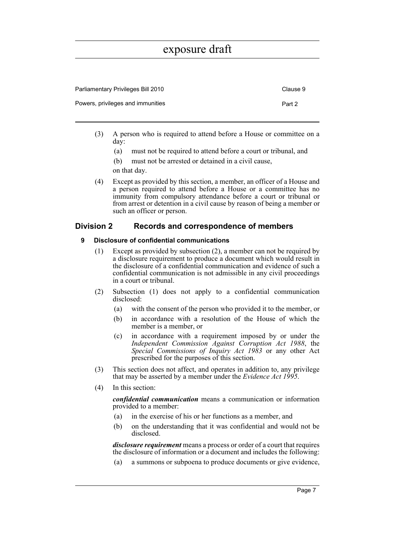| Parliamentary Privileges Bill 2010 | Clause 9 |
|------------------------------------|----------|
| Powers, privileges and immunities  | Part 2   |

- (3) A person who is required to attend before a House or committee on a day:
	- (a) must not be required to attend before a court or tribunal, and
	- (b) must not be arrested or detained in a civil cause,

on that day.

(4) Except as provided by this section, a member, an officer of a House and a person required to attend before a House or a committee has no immunity from compulsory attendance before a court or tribunal or from arrest or detention in a civil cause by reason of being a member or such an officer or person.

### <span id="page-12-1"></span><span id="page-12-0"></span>**Division 2 Records and correspondence of members**

#### **9 Disclosure of confidential communications**

- (1) Except as provided by subsection (2), a member can not be required by a disclosure requirement to produce a document which would result in the disclosure of a confidential communication and evidence of such a confidential communication is not admissible in any civil proceedings in a court or tribunal.
- (2) Subsection (1) does not apply to a confidential communication disclosed:
	- (a) with the consent of the person who provided it to the member, or
	- (b) in accordance with a resolution of the House of which the member is a member, or
	- (c) in accordance with a requirement imposed by or under the *Independent Commission Against Corruption Act 1988*, the *Special Commissions of Inquiry Act 1983* or any other Act prescribed for the purposes of this section.
- (3) This section does not affect, and operates in addition to, any privilege that may be asserted by a member under the *Evidence Act 1995*.
- (4) In this section:

*confidential communication* means a communication or information provided to a member:

- (a) in the exercise of his or her functions as a member, and
- (b) on the understanding that it was confidential and would not be disclosed.

*disclosure requirement* means a process or order of a court that requires the disclosure of information or a document and includes the following:

(a) a summons or subpoena to produce documents or give evidence,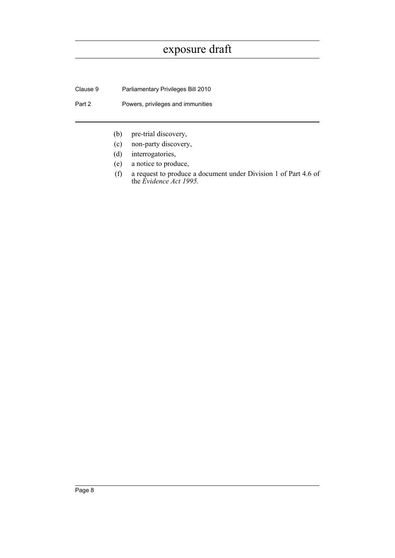Clause 9 Parliamentary Privileges Bill 2010

Part 2 **Powers, privileges and immunities** 

- (b) pre-trial discovery,
- (c) non-party discovery,
- (d) interrogatories,
- (e) a notice to produce,
- (f) a request to produce a document under Division 1 of Part 4.6 of the *Evidence Act 1995.*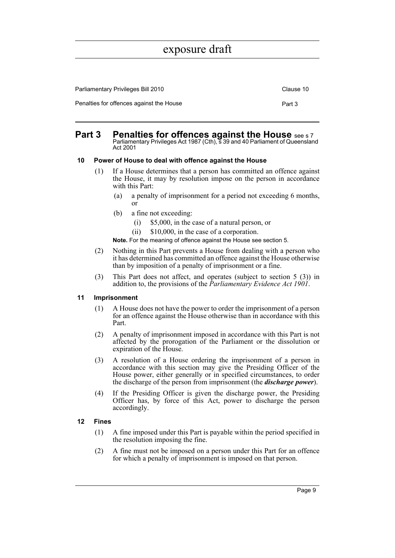| <b>Parliamentary Privileges Bill 2010</b> | Clause 10 |
|-------------------------------------------|-----------|
| Penalties for offences against the House  | Part 3    |

#### <span id="page-14-0"></span>**Part 3** Penalties for offences against the House see s 7 Parliamentary Privileges Act 1987 (Cth), s 39 and 40 Parliament of Queensland Act 2001

#### <span id="page-14-1"></span>**10 Power of House to deal with offence against the House**

- (1) If a House determines that a person has committed an offence against the House, it may by resolution impose on the person in accordance with this Part:
	- (a) a penalty of imprisonment for a period not exceeding 6 months, or
	- (b) a fine not exceeding:
		- (i) \$5,000, in the case of a natural person, or
		- (ii) \$10,000, in the case of a corporation.

**Note.** For the meaning of offence against the House see section 5.

- (2) Nothing in this Part prevents a House from dealing with a person who it has determined has committed an offence against the House otherwise than by imposition of a penalty of imprisonment or a fine.
- (3) This Part does not affect, and operates (subject to section 5 (3)) in addition to, the provisions of the *Parliamentary Evidence Act 1901*.

#### <span id="page-14-2"></span>**11 Imprisonment**

- (1) A House does not have the power to order the imprisonment of a person for an offence against the House otherwise than in accordance with this Part.
- (2) A penalty of imprisonment imposed in accordance with this Part is not affected by the prorogation of the Parliament or the dissolution or expiration of the House.
- (3) A resolution of a House ordering the imprisonment of a person in accordance with this section may give the Presiding Officer of the House power, either generally or in specified circumstances, to order the discharge of the person from imprisonment (the *discharge power*).
- (4) If the Presiding Officer is given the discharge power, the Presiding Officer has, by force of this Act, power to discharge the person accordingly.

#### <span id="page-14-3"></span>**12 Fines**

- (1) A fine imposed under this Part is payable within the period specified in the resolution imposing the fine.
- (2) A fine must not be imposed on a person under this Part for an offence for which a penalty of imprisonment is imposed on that person.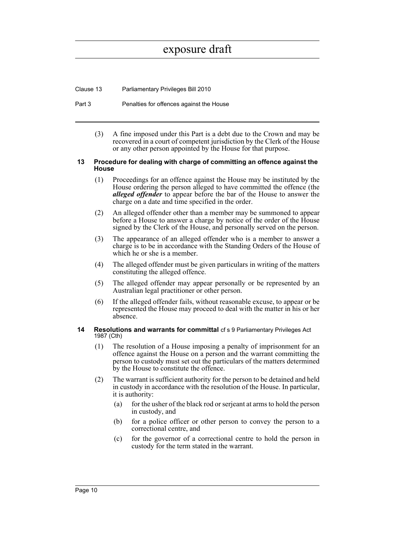Clause 13 Parliamentary Privileges Bill 2010

- Part 3 Penalties for offences against the House
	- (3) A fine imposed under this Part is a debt due to the Crown and may be recovered in a court of competent jurisdiction by the Clerk of the House or any other person appointed by the House for that purpose.

#### <span id="page-15-0"></span>**13 Procedure for dealing with charge of committing an offence against the House**

- (1) Proceedings for an offence against the House may be instituted by the House ordering the person alleged to have committed the offence (the *alleged offender* to appear before the bar of the House to answer the charge on a date and time specified in the order.
- (2) An alleged offender other than a member may be summoned to appear before a House to answer a charge by notice of the order of the House signed by the Clerk of the House, and personally served on the person.
- (3) The appearance of an alleged offender who is a member to answer a charge is to be in accordance with the Standing Orders of the House of which he or she is a member.
- (4) The alleged offender must be given particulars in writing of the matters constituting the alleged offence.
- (5) The alleged offender may appear personally or be represented by an Australian legal practitioner or other person.
- (6) If the alleged offender fails, without reasonable excuse, to appear or be represented the House may proceed to deal with the matter in his or her absence.

#### <span id="page-15-1"></span>**14 Resolutions and warrants for committal** cf s 9 Parliamentary Privileges Act 1987 (Cth)

- (1) The resolution of a House imposing a penalty of imprisonment for an offence against the House on a person and the warrant committing the person to custody must set out the particulars of the matters determined by the House to constitute the offence.
- (2) The warrant is sufficient authority for the person to be detained and held in custody in accordance with the resolution of the House. In particular, it is authority:
	- (a) for the usher of the black rod or serjeant at arms to hold the person in custody, and
	- (b) for a police officer or other person to convey the person to a correctional centre, and
	- (c) for the governor of a correctional centre to hold the person in custody for the term stated in the warrant.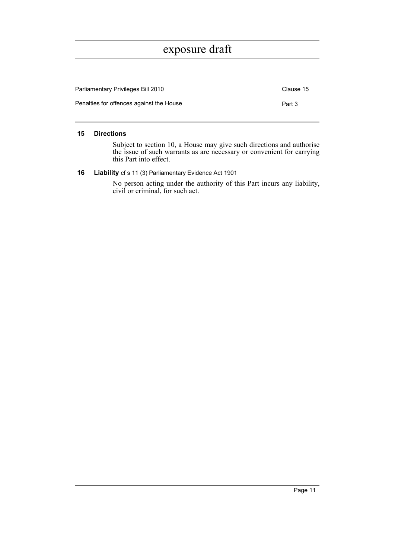| <b>Parliamentary Privileges Bill 2010</b> | Clause 15 |
|-------------------------------------------|-----------|
| Penalties for offences against the House  | Part 3    |

#### <span id="page-16-0"></span>**15 Directions**

Subject to section 10, a House may give such directions and authorise the issue of such warrants as are necessary or convenient for carrying this Part into effect.

<span id="page-16-1"></span>**16 Liability** cf s 11 (3) Parliamentary Evidence Act 1901

No person acting under the authority of this Part incurs any liability, civil or criminal, for such act.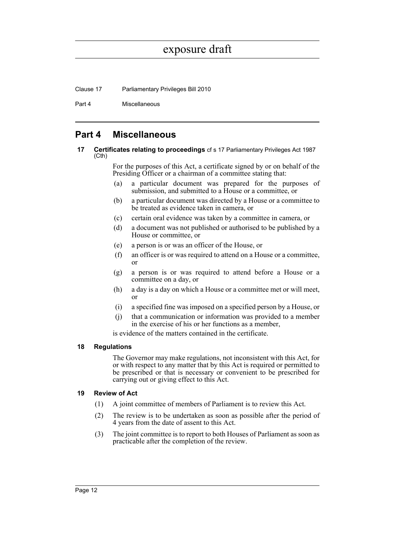Clause 17 Parliamentary Privileges Bill 2010

Part 4 Miscellaneous

### <span id="page-17-0"></span>**Part 4 Miscellaneous**

<span id="page-17-1"></span>**17 Certificates relating to proceedings** cf s 17 Parliamentary Privileges Act 1987 (Cth)

> For the purposes of this Act, a certificate signed by or on behalf of the Presiding Officer or a chairman of a committee stating that:

- (a) a particular document was prepared for the purposes of submission, and submitted to a House or a committee, or
- (b) a particular document was directed by a House or a committee to be treated as evidence taken in camera, or
- (c) certain oral evidence was taken by a committee in camera, or
- (d) a document was not published or authorised to be published by a House or committee, or
- (e) a person is or was an officer of the House, or
- (f) an officer is or was required to attend on a House or a committee, or
- (g) a person is or was required to attend before a House or a committee on a day, or
- (h) a day is a day on which a House or a committee met or will meet, or
- (i) a specified fine was imposed on a specified person by a House, or
- (j) that a communication or information was provided to a member in the exercise of his or her functions as a member,

is evidence of the matters contained in the certificate.

#### <span id="page-17-2"></span>**18 Regulations**

The Governor may make regulations, not inconsistent with this Act, for or with respect to any matter that by this Act is required or permitted to be prescribed or that is necessary or convenient to be prescribed for carrying out or giving effect to this Act.

#### <span id="page-17-3"></span>**19 Review of Act**

- (1) A joint committee of members of Parliament is to review this Act.
- (2) The review is to be undertaken as soon as possible after the period of 4 years from the date of assent to this Act.
- (3) The joint committee is to report to both Houses of Parliament as soon as practicable after the completion of the review.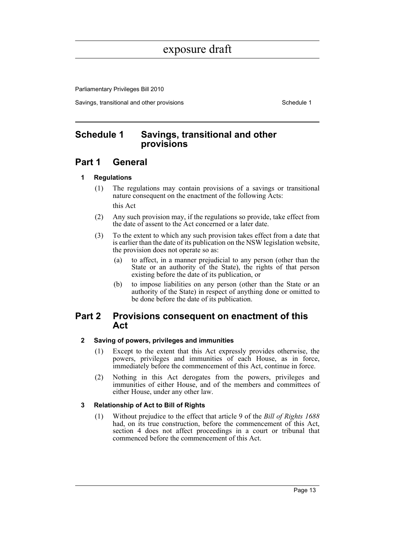Parliamentary Privileges Bill 2010

Savings, transitional and other provisions Schedule 1

### <span id="page-18-0"></span>**Schedule 1 Savings, transitional and other provisions**

### **Part 1 General**

### **1 Regulations**

- (1) The regulations may contain provisions of a savings or transitional nature consequent on the enactment of the following Acts: this Act
- (2) Any such provision may, if the regulations so provide, take effect from the date of assent to the Act concerned or a later date.
- (3) To the extent to which any such provision takes effect from a date that is earlier than the date of its publication on the NSW legislation website, the provision does not operate so as:
	- (a) to affect, in a manner prejudicial to any person (other than the State or an authority of the State), the rights of that person existing before the date of its publication, or
	- (b) to impose liabilities on any person (other than the State or an authority of the State) in respect of anything done or omitted to be done before the date of its publication.

### **Part 2 Provisions consequent on enactment of this Act**

### **2 Saving of powers, privileges and immunities**

- (1) Except to the extent that this Act expressly provides otherwise, the powers, privileges and immunities of each House, as in force, immediately before the commencement of this Act, continue in force.
- (2) Nothing in this Act derogates from the powers, privileges and immunities of either House, and of the members and committees of either House, under any other law.

### **3 Relationship of Act to Bill of Rights**

(1) Without prejudice to the effect that article 9 of the *Bill of Rights 1688* had, on its true construction, before the commencement of this Act, section 4 does not affect proceedings in a court or tribunal that commenced before the commencement of this Act.